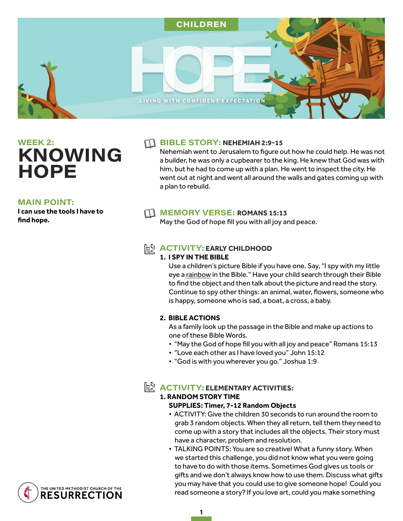

**WEEK 2: KNOWING HOPE** 

#### **MAIN POINT:**

**I can use the tools I have to find hope.** 

#### **FILE STORY: NEHEMIAH 2:9-15**

Nehemiah went to Jerusalem to figure out how he could help. He was not a builder, he was only a cupbearer to the king. He knew that God was with him, but he had to come up with a plan. He went to inspect the city. He went out at night and went all around the walls and gates coming up with a plan to rebuild.

## **MEMORY VERSE: ROMANS 15:13**

May the God of hope fill you with all joy and peace.

## **h ACTIVITY: EARLY CHILDHOOD**

#### **1. I SPY IN THE BIBLE**

Use a children's picture Bible if you have one. Say, "I spy with my little eye a rainbow in the Bible." Have your child search through their Bible to find the object and then talk about the picture and read the story. Continue to spy other things: an animal, water, flowers, someone who is happy, someone who is sad, a boat, a cross, a baby.

#### **2. BIBLE ACTIONS**

As a family look up the passage in the Bible and make up actions to one of these Bible Words.

- "May the God of hope fill you with all joy and peace" Romans 15:13
- "Love each other as I have loved you" John 15:12
- "God is with you wherever you go." Joshua 1:9

# $\mathbb{h}^{\mathbb{Q}}$  **ACTIVITY: ELEMENTARY ACTIVITIES:**

# **1. RANDOM STORY TIME**

### **SUPPLIES: Timer, 7-12 Random Objects**

- ACTIVITY: Give the children 30 seconds to run around the room to grab 3 random objects. When they all return, tell them they need to come up with a story that includes all the objects. Their story must have a character, problem and resolution.
- TALKING POINTS: You are so creative! What a funny story. When we started this challenge, you did not know what you were going to have to do with those items. Sometimes God gives us tools or gifts and we don't always know how to use them. Discuss what gifts you may have that you could use to give someone hope! Could you read someone a story? If you love art, could you make something